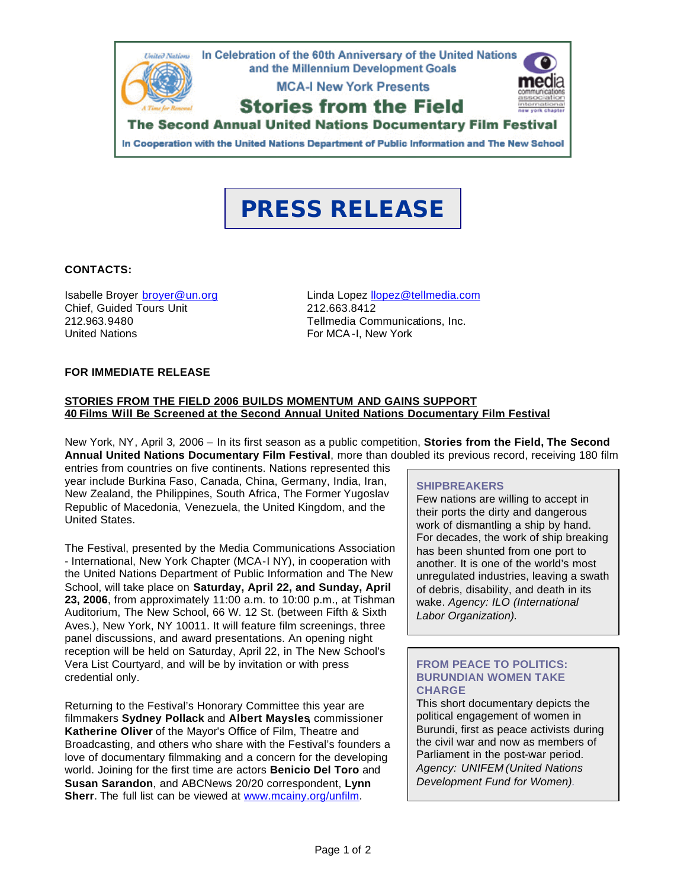

# **PRESS RELEASE**

## **CONTACTS:**

Chief, Guided Tours Unit 212.663.8412 United Nations **For MCA-I, New York** 

Isabelle Broyer broyer@un.org Linda Lopez llopez@tellmedia.com 212.963.9480 Tellmedia Communications, Inc.

## **FOR IMMEDIATE RELEASE**

#### **STORIES FROM THE FIELD 2006 BUILDS MOMENTUM AND GAINS SUPPORT 40 Films Will Be Screened at the Second Annual United Nations Documentary Film Festival**

New York, NY, April 3, 2006 – In its first season as a public competition, **Stories from the Field, The Second Annual United Nations Documentary Film Festival**, more than doubled its previous record, receiving 180 film

entries from countries on five continents. Nations represented this year include Burkina Faso, Canada, China, Germany, India, Iran, New Zealand, the Philippines, South Africa, The Former Yugoslav Republic of Macedonia, Venezuela, the United Kingdom, and the United States.

The Festival, presented by the Media Communications Association - International, New York Chapter (MCA-I NY), in cooperation with the United Nations Department of Public Information and The New School, will take place on **Saturday, April 22, and Sunday, April 23, 2006**, from approximately 11:00 a.m. to 10:00 p.m., at Tishman Auditorium, The New School, 66 W. 12 St. (between Fifth & Sixth Aves.), New York, NY 10011. It will feature film screenings, three panel discussions, and award presentations. An opening night reception will be held on Saturday, April 22, in The New School's Vera List Courtyard, and will be by invitation or with press credential only.

Returning to the Festival's Honorary Committee this year are filmmakers **Sydney Pollack** and **Albert Maysles**, commissioner **Katherine Oliver** of the Mayor's Office of Film, Theatre and Broadcasting, and others who share with the Festival's founders a love of documentary filmmaking and a concern for the developing world. Joining for the first time are actors **Benicio Del Toro** and **Susan Sarandon**, and ABCNews 20/20 correspondent, **Lynn Sherr**. The full list can be viewed at www.mcainy.org/unfilm.

#### **SHIPBREAKERS**

Few nations are willing to accept in their ports the dirty and dangerous work of dismantling a ship by hand. For decades, the work of ship breaking has been shunted from one port to another. It is one of the world's most unregulated industries, leaving a swath of debris, disability, and death in its wake. *Agency: ILO (International Labor Organization).*

## **FROM PEACE TO POLITICS: BURUNDIAN WOMEN TAKE CHARGE**

This short documentary depicts the political engagement of women in Burundi, first as peace activists during the civil war and now as members of Parliament in the post-war period. *Agency: UNIFEM (United Nations Development Fund for Women).*